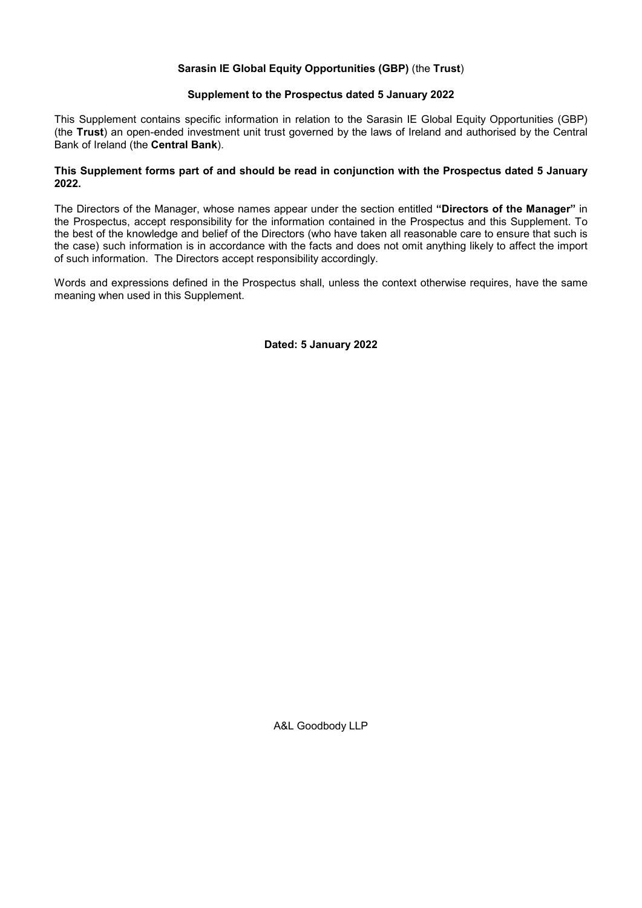# Sarasin IE Global Equity Opportunities (GBP) (the Trust)

# Supplement to the Prospectus dated 5 January 2022

This Supplement contains specific information in relation to the Sarasin IE Global Equity Opportunities (GBP) (the Trust) an open-ended investment unit trust governed by the laws of Ireland and authorised by the Central Bank of Ireland (the Central Bank).

# This Supplement forms part of and should be read in conjunction with the Prospectus dated 5 January 2022.

The Directors of the Manager, whose names appear under the section entitled "Directors of the Manager" in the Prospectus, accept responsibility for the information contained in the Prospectus and this Supplement. To the best of the knowledge and belief of the Directors (who have taken all reasonable care to ensure that such is the case) such information is in accordance with the facts and does not omit anything likely to affect the import of such information. The Directors accept responsibility accordingly.

Words and expressions defined in the Prospectus shall, unless the context otherwise requires, have the same meaning when used in this Supplement.

Dated: 5 January 2022

A&L Goodbody LLP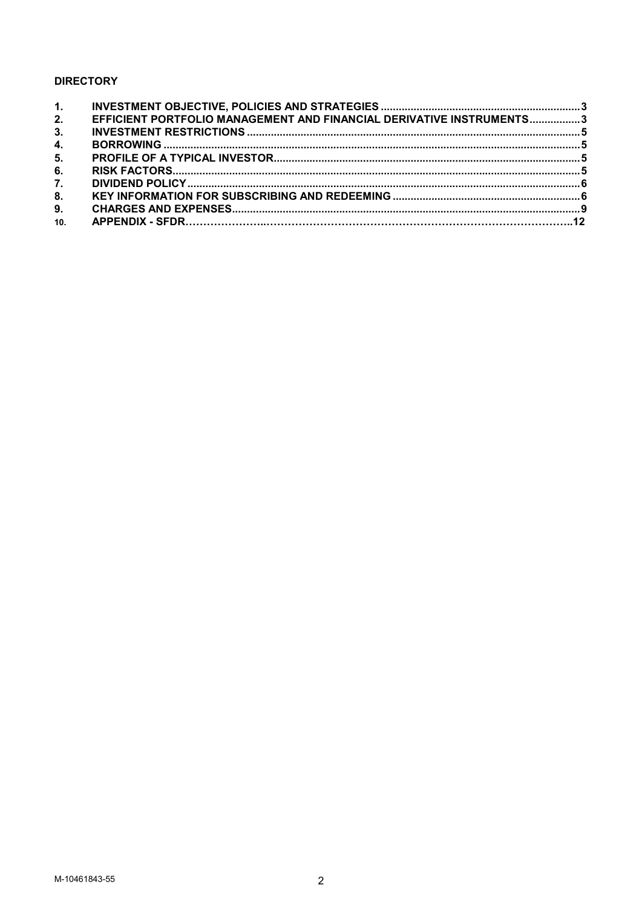# **DIRECTORY**

| 2.  | EFFICIENT PORTFOLIO MANAGEMENT AND FINANCIAL DERIVATIVE INSTRUMENTS3 |  |
|-----|----------------------------------------------------------------------|--|
| 3.  |                                                                      |  |
| 4.  |                                                                      |  |
| 5.  |                                                                      |  |
| 6.  |                                                                      |  |
| 7.  |                                                                      |  |
| 8.  |                                                                      |  |
| 9.  |                                                                      |  |
| 10. |                                                                      |  |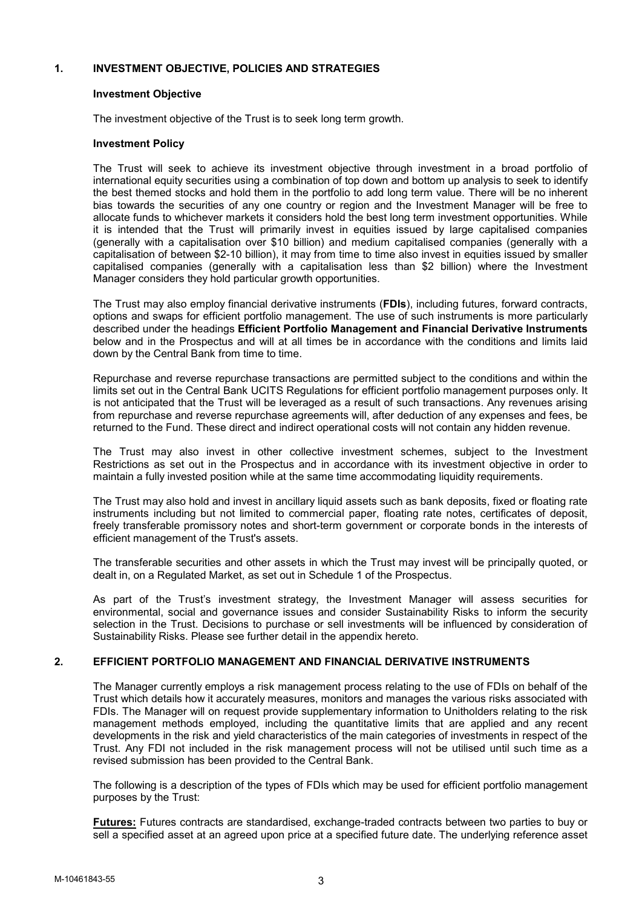# 1. INVESTMENT OBJECTIVE, POLICIES AND STRATEGIES

### Investment Objective

The investment objective of the Trust is to seek long term growth.

# Investment Policy

The Trust will seek to achieve its investment objective through investment in a broad portfolio of international equity securities using a combination of top down and bottom up analysis to seek to identify the best themed stocks and hold them in the portfolio to add long term value. There will be no inherent bias towards the securities of any one country or region and the Investment Manager will be free to allocate funds to whichever markets it considers hold the best long term investment opportunities. While it is intended that the Trust will primarily invest in equities issued by large capitalised companies (generally with a capitalisation over \$10 billion) and medium capitalised companies (generally with a capitalisation of between \$2-10 billion), it may from time to time also invest in equities issued by smaller capitalised companies (generally with a capitalisation less than \$2 billion) where the Investment Manager considers they hold particular growth opportunities.

The Trust may also employ financial derivative instruments (FDIs), including futures, forward contracts, options and swaps for efficient portfolio management. The use of such instruments is more particularly described under the headings Efficient Portfolio Management and Financial Derivative Instruments below and in the Prospectus and will at all times be in accordance with the conditions and limits laid down by the Central Bank from time to time.

Repurchase and reverse repurchase transactions are permitted subject to the conditions and within the limits set out in the Central Bank UCITS Regulations for efficient portfolio management purposes only. It is not anticipated that the Trust will be leveraged as a result of such transactions. Any revenues arising from repurchase and reverse repurchase agreements will, after deduction of any expenses and fees, be returned to the Fund. These direct and indirect operational costs will not contain any hidden revenue.

The Trust may also invest in other collective investment schemes, subject to the Investment Restrictions as set out in the Prospectus and in accordance with its investment objective in order to maintain a fully invested position while at the same time accommodating liquidity requirements.

The Trust may also hold and invest in ancillary liquid assets such as bank deposits, fixed or floating rate instruments including but not limited to commercial paper, floating rate notes, certificates of deposit, freely transferable promissory notes and short-term government or corporate bonds in the interests of efficient management of the Trust's assets.

The transferable securities and other assets in which the Trust may invest will be principally quoted, or dealt in, on a Regulated Market, as set out in Schedule 1 of the Prospectus.

As part of the Trust's investment strategy, the Investment Manager will assess securities for environmental, social and governance issues and consider Sustainability Risks to inform the security selection in the Trust. Decisions to purchase or sell investments will be influenced by consideration of Sustainability Risks. Please see further detail in the appendix hereto.

# 2. EFFICIENT PORTFOLIO MANAGEMENT AND FINANCIAL DERIVATIVE INSTRUMENTS

The Manager currently employs a risk management process relating to the use of FDIs on behalf of the Trust which details how it accurately measures, monitors and manages the various risks associated with FDIs. The Manager will on request provide supplementary information to Unitholders relating to the risk management methods employed, including the quantitative limits that are applied and any recent developments in the risk and yield characteristics of the main categories of investments in respect of the Trust. Any FDI not included in the risk management process will not be utilised until such time as a revised submission has been provided to the Central Bank.

The following is a description of the types of FDIs which may be used for efficient portfolio management purposes by the Trust:

Futures: Futures contracts are standardised, exchange-traded contracts between two parties to buy or sell a specified asset at an agreed upon price at a specified future date. The underlying reference asset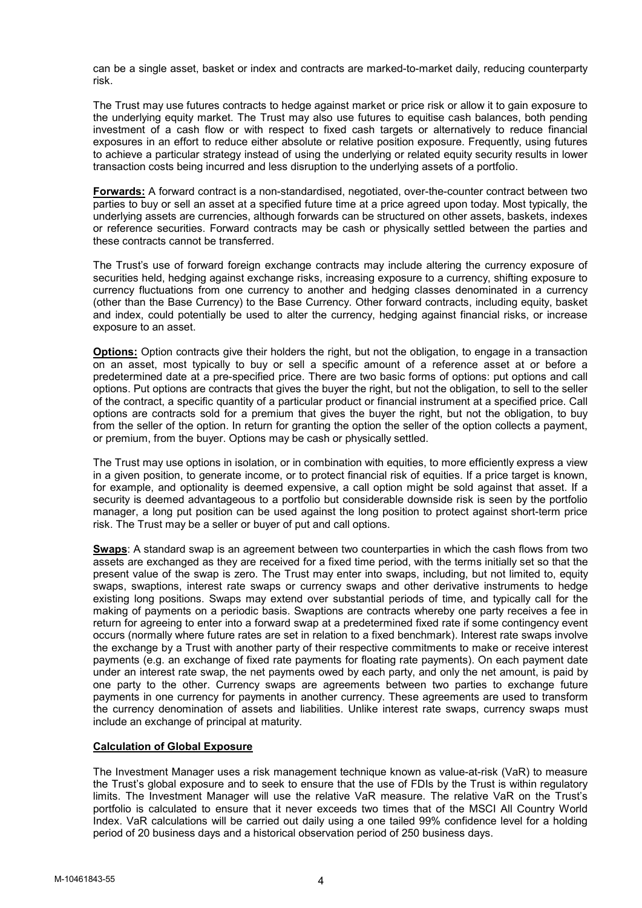can be a single asset, basket or index and contracts are marked-to-market daily, reducing counterparty risk.

The Trust may use futures contracts to hedge against market or price risk or allow it to gain exposure to the underlying equity market. The Trust may also use futures to equitise cash balances, both pending investment of a cash flow or with respect to fixed cash targets or alternatively to reduce financial exposures in an effort to reduce either absolute or relative position exposure. Frequently, using futures to achieve a particular strategy instead of using the underlying or related equity security results in lower transaction costs being incurred and less disruption to the underlying assets of a portfolio.

Forwards: A forward contract is a non-standardised, negotiated, over-the-counter contract between two parties to buy or sell an asset at a specified future time at a price agreed upon today. Most typically, the underlying assets are currencies, although forwards can be structured on other assets, baskets, indexes or reference securities. Forward contracts may be cash or physically settled between the parties and these contracts cannot be transferred.

The Trust's use of forward foreign exchange contracts may include altering the currency exposure of securities held, hedging against exchange risks, increasing exposure to a currency, shifting exposure to currency fluctuations from one currency to another and hedging classes denominated in a currency (other than the Base Currency) to the Base Currency. Other forward contracts, including equity, basket and index, could potentially be used to alter the currency, hedging against financial risks, or increase exposure to an asset.

Options: Option contracts give their holders the right, but not the obligation, to engage in a transaction on an asset, most typically to buy or sell a specific amount of a reference asset at or before a predetermined date at a pre-specified price. There are two basic forms of options: put options and call options. Put options are contracts that gives the buyer the right, but not the obligation, to sell to the seller of the contract, a specific quantity of a particular product or financial instrument at a specified price. Call options are contracts sold for a premium that gives the buyer the right, but not the obligation, to buy from the seller of the option. In return for granting the option the seller of the option collects a payment, or premium, from the buyer. Options may be cash or physically settled.

The Trust may use options in isolation, or in combination with equities, to more efficiently express a view in a given position, to generate income, or to protect financial risk of equities. If a price target is known, for example, and optionality is deemed expensive, a call option might be sold against that asset. If a security is deemed advantageous to a portfolio but considerable downside risk is seen by the portfolio manager, a long put position can be used against the long position to protect against short-term price risk. The Trust may be a seller or buyer of put and call options.

Swaps: A standard swap is an agreement between two counterparties in which the cash flows from two assets are exchanged as they are received for a fixed time period, with the terms initially set so that the present value of the swap is zero. The Trust may enter into swaps, including, but not limited to, equity swaps, swaptions, interest rate swaps or currency swaps and other derivative instruments to hedge existing long positions. Swaps may extend over substantial periods of time, and typically call for the making of payments on a periodic basis. Swaptions are contracts whereby one party receives a fee in return for agreeing to enter into a forward swap at a predetermined fixed rate if some contingency event occurs (normally where future rates are set in relation to a fixed benchmark). Interest rate swaps involve the exchange by a Trust with another party of their respective commitments to make or receive interest payments (e.g. an exchange of fixed rate payments for floating rate payments). On each payment date under an interest rate swap, the net payments owed by each party, and only the net amount, is paid by one party to the other. Currency swaps are agreements between two parties to exchange future payments in one currency for payments in another currency. These agreements are used to transform the currency denomination of assets and liabilities. Unlike interest rate swaps, currency swaps must include an exchange of principal at maturity.

#### Calculation of Global Exposure

The Investment Manager uses a risk management technique known as value-at-risk (VaR) to measure the Trust's global exposure and to seek to ensure that the use of FDIs by the Trust is within regulatory limits. The Investment Manager will use the relative VaR measure. The relative VaR on the Trust's portfolio is calculated to ensure that it never exceeds two times that of the MSCI All Country World Index. VaR calculations will be carried out daily using a one tailed 99% confidence level for a holding period of 20 business days and a historical observation period of 250 business days.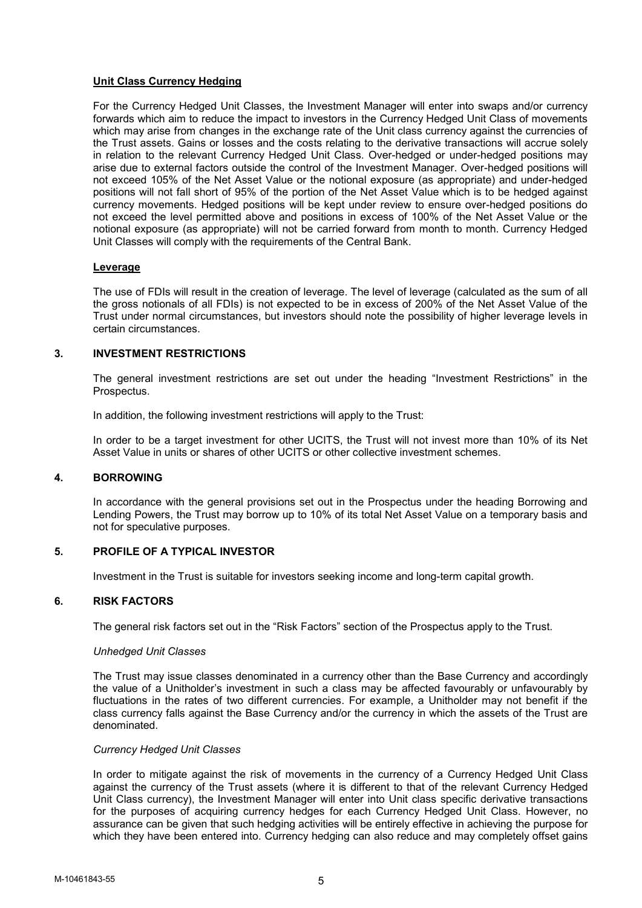# Unit Class Currency Hedging

For the Currency Hedged Unit Classes, the Investment Manager will enter into swaps and/or currency forwards which aim to reduce the impact to investors in the Currency Hedged Unit Class of movements which may arise from changes in the exchange rate of the Unit class currency against the currencies of the Trust assets. Gains or losses and the costs relating to the derivative transactions will accrue solely in relation to the relevant Currency Hedged Unit Class. Over-hedged or under-hedged positions may arise due to external factors outside the control of the Investment Manager. Over-hedged positions will not exceed 105% of the Net Asset Value or the notional exposure (as appropriate) and under-hedged positions will not fall short of 95% of the portion of the Net Asset Value which is to be hedged against currency movements. Hedged positions will be kept under review to ensure over-hedged positions do not exceed the level permitted above and positions in excess of 100% of the Net Asset Value or the notional exposure (as appropriate) will not be carried forward from month to month. Currency Hedged Unit Classes will comply with the requirements of the Central Bank.

#### Leverage

The use of FDIs will result in the creation of leverage. The level of leverage (calculated as the sum of all the gross notionals of all FDIs) is not expected to be in excess of 200% of the Net Asset Value of the Trust under normal circumstances, but investors should note the possibility of higher leverage levels in certain circumstances.

# 3. INVESTMENT RESTRICTIONS

The general investment restrictions are set out under the heading "Investment Restrictions" in the Prospectus.

In addition, the following investment restrictions will apply to the Trust:

In order to be a target investment for other UCITS, the Trust will not invest more than 10% of its Net Asset Value in units or shares of other UCITS or other collective investment schemes.

# 4. BORROWING

In accordance with the general provisions set out in the Prospectus under the heading Borrowing and Lending Powers, the Trust may borrow up to 10% of its total Net Asset Value on a temporary basis and not for speculative purposes.

# 5. PROFILE OF A TYPICAL INVESTOR

Investment in the Trust is suitable for investors seeking income and long-term capital growth.

#### 6. RISK FACTORS

The general risk factors set out in the "Risk Factors" section of the Prospectus apply to the Trust.

#### Unhedged Unit Classes

The Trust may issue classes denominated in a currency other than the Base Currency and accordingly the value of a Unitholder's investment in such a class may be affected favourably or unfavourably by fluctuations in the rates of two different currencies. For example, a Unitholder may not benefit if the class currency falls against the Base Currency and/or the currency in which the assets of the Trust are denominated.

#### Currency Hedged Unit Classes

In order to mitigate against the risk of movements in the currency of a Currency Hedged Unit Class against the currency of the Trust assets (where it is different to that of the relevant Currency Hedged Unit Class currency), the Investment Manager will enter into Unit class specific derivative transactions for the purposes of acquiring currency hedges for each Currency Hedged Unit Class. However, no assurance can be given that such hedging activities will be entirely effective in achieving the purpose for which they have been entered into. Currency hedging can also reduce and may completely offset gains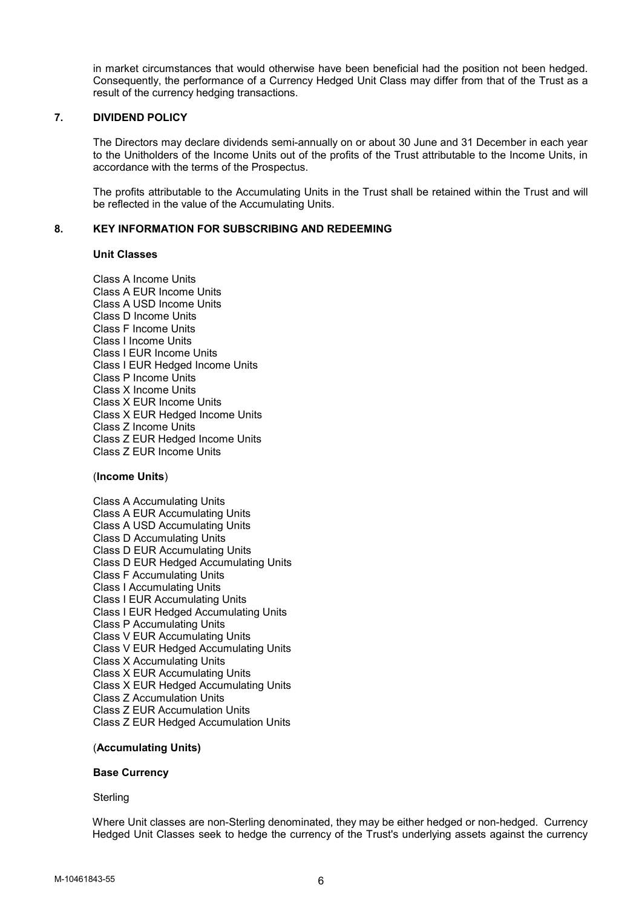in market circumstances that would otherwise have been beneficial had the position not been hedged. Consequently, the performance of a Currency Hedged Unit Class may differ from that of the Trust as a result of the currency hedging transactions.

# 7. DIVIDEND POLICY

The Directors may declare dividends semi-annually on or about 30 June and 31 December in each year to the Unitholders of the Income Units out of the profits of the Trust attributable to the Income Units, in accordance with the terms of the Prospectus.

The profits attributable to the Accumulating Units in the Trust shall be retained within the Trust and will be reflected in the value of the Accumulating Units.

# 8. KEY INFORMATION FOR SUBSCRIBING AND REDEEMING

#### Unit Classes

Class A Income Units Class A EUR Income Units Class A USD Income Units Class D Income Units Class F Income Units Class I Income Units Class I EUR Income Units Class I EUR Hedged Income Units Class P Income Units Class X Income Units Class X EUR Income Units Class X EUR Hedged Income Units Class Z Income Units Class Z EUR Hedged Income Units Class Z EUR Income Units

# (Income Units)

Class A Accumulating Units Class A EUR Accumulating Units Class A USD Accumulating Units Class D Accumulating Units Class D EUR Accumulating Units Class D EUR Hedged Accumulating Units Class F Accumulating Units Class I Accumulating Units Class I EUR Accumulating Units Class I EUR Hedged Accumulating Units Class P Accumulating Units Class V EUR Accumulating Units Class V EUR Hedged Accumulating Units Class X Accumulating Units Class X EUR Accumulating Units Class X EUR Hedged Accumulating Units Class Z Accumulation Units Class Z EUR Accumulation Units Class Z EUR Hedged Accumulation Units

# (Accumulating Units)

#### Base Currency

### **Sterling**

Where Unit classes are non-Sterling denominated, they may be either hedged or non-hedged. Currency Hedged Unit Classes seek to hedge the currency of the Trust's underlying assets against the currency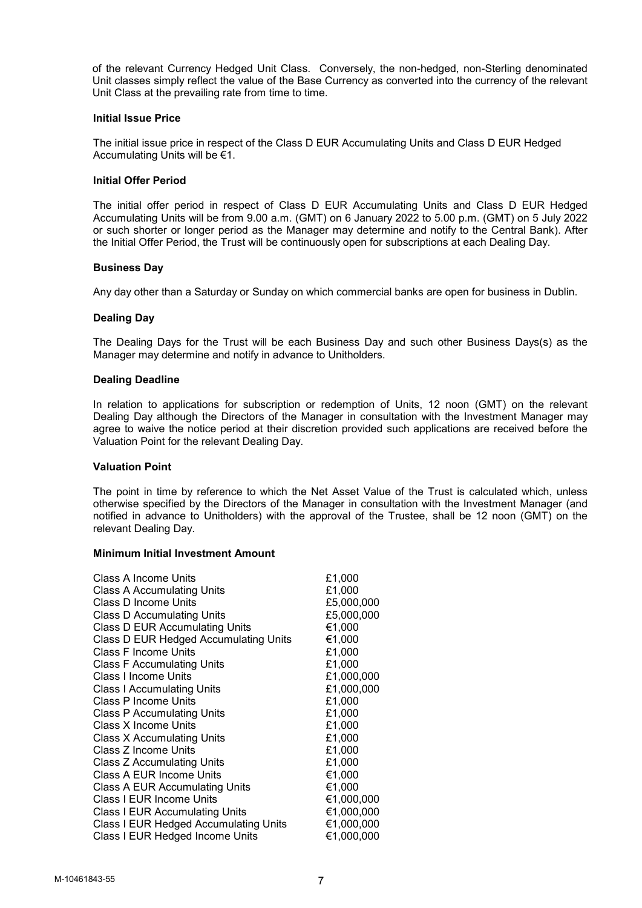of the relevant Currency Hedged Unit Class. Conversely, the non-hedged, non-Sterling denominated Unit classes simply reflect the value of the Base Currency as converted into the currency of the relevant Unit Class at the prevailing rate from time to time.

#### Initial Issue Price

The initial issue price in respect of the Class D EUR Accumulating Units and Class D EUR Hedged Accumulating Units will be €1.

#### Initial Offer Period

The initial offer period in respect of Class D EUR Accumulating Units and Class D EUR Hedged Accumulating Units will be from 9.00 a.m. (GMT) on 6 January 2022 to 5.00 p.m. (GMT) on 5 July 2022 or such shorter or longer period as the Manager may determine and notify to the Central Bank). After the Initial Offer Period, the Trust will be continuously open for subscriptions at each Dealing Day.

#### Business Day

Any day other than a Saturday or Sunday on which commercial banks are open for business in Dublin.

#### Dealing Day

The Dealing Days for the Trust will be each Business Day and such other Business Days(s) as the Manager may determine and notify in advance to Unitholders.

#### Dealing Deadline

In relation to applications for subscription or redemption of Units, 12 noon (GMT) on the relevant Dealing Day although the Directors of the Manager in consultation with the Investment Manager may agree to waive the notice period at their discretion provided such applications are received before the Valuation Point for the relevant Dealing Day.

### Valuation Point

The point in time by reference to which the Net Asset Value of the Trust is calculated which, unless otherwise specified by the Directors of the Manager in consultation with the Investment Manager (and notified in advance to Unitholders) with the approval of the Trustee, shall be 12 noon (GMT) on the relevant Dealing Day.

#### Minimum Initial Investment Amount

| Class A Income Units                  | £1,000     |
|---------------------------------------|------------|
| Class A Accumulating Units            | £1,000     |
| Class D Income Units                  | £5,000,000 |
| <b>Class D Accumulating Units</b>     | £5,000,000 |
| Class D EUR Accumulating Units        | €1,000     |
| Class D EUR Hedged Accumulating Units | €1,000     |
| Class F Income Units                  | £1,000     |
| Class F Accumulating Units            | £1,000     |
| Class I Income Units                  | £1,000,000 |
| <b>Class I Accumulating Units</b>     | £1,000,000 |
| Class P Income Units                  | £1,000     |
| <b>Class P Accumulating Units</b>     | £1,000     |
| Class X Income Units                  | £1,000     |
| Class X Accumulating Units            | £1,000     |
| Class Z Income Units                  | £1,000     |
| Class Z Accumulating Units            | £1,000     |
| Class A EUR Income Units              | €1,000     |
| <b>Class A EUR Accumulating Units</b> | €1,000     |
| Class I EUR Income Units              | €1,000,000 |
| <b>Class I EUR Accumulating Units</b> | €1,000,000 |
| Class I EUR Hedged Accumulating Units | €1,000,000 |
| Class I EUR Hedged Income Units       | €1,000,000 |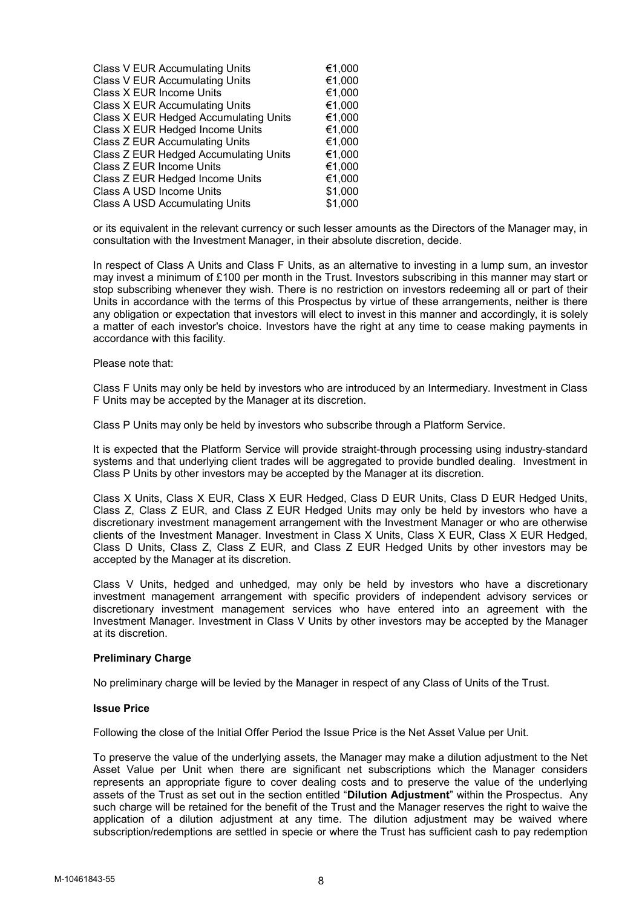| €1,000  |
|---------|
| €1,000  |
| €1,000  |
| €1,000  |
| €1,000  |
| €1,000  |
| €1,000  |
| €1,000  |
| €1,000  |
| €1,000  |
| \$1,000 |
| \$1,000 |
|         |

or its equivalent in the relevant currency or such lesser amounts as the Directors of the Manager may, in consultation with the Investment Manager, in their absolute discretion, decide.

In respect of Class A Units and Class F Units, as an alternative to investing in a lump sum, an investor may invest a minimum of £100 per month in the Trust. Investors subscribing in this manner may start or stop subscribing whenever they wish. There is no restriction on investors redeeming all or part of their Units in accordance with the terms of this Prospectus by virtue of these arrangements, neither is there any obligation or expectation that investors will elect to invest in this manner and accordingly, it is solely a matter of each investor's choice. Investors have the right at any time to cease making payments in accordance with this facility.

Please note that:

Class F Units may only be held by investors who are introduced by an Intermediary. Investment in Class F Units may be accepted by the Manager at its discretion.

Class P Units may only be held by investors who subscribe through a Platform Service.

It is expected that the Platform Service will provide straight-through processing using industry-standard systems and that underlying client trades will be aggregated to provide bundled dealing. Investment in Class P Units by other investors may be accepted by the Manager at its discretion.

Class X Units, Class X EUR, Class X EUR Hedged, Class D EUR Units, Class D EUR Hedged Units, Class Z, Class Z EUR, and Class Z EUR Hedged Units may only be held by investors who have a discretionary investment management arrangement with the Investment Manager or who are otherwise clients of the Investment Manager. Investment in Class X Units, Class X EUR, Class X EUR Hedged, Class D Units, Class Z, Class Z EUR, and Class Z EUR Hedged Units by other investors may be accepted by the Manager at its discretion.

Class V Units, hedged and unhedged, may only be held by investors who have a discretionary investment management arrangement with specific providers of independent advisory services or discretionary investment management services who have entered into an agreement with the Investment Manager. Investment in Class V Units by other investors may be accepted by the Manager at its discretion.

#### Preliminary Charge

No preliminary charge will be levied by the Manager in respect of any Class of Units of the Trust.

### Issue Price

Following the close of the Initial Offer Period the Issue Price is the Net Asset Value per Unit.

To preserve the value of the underlying assets, the Manager may make a dilution adjustment to the Net Asset Value per Unit when there are significant net subscriptions which the Manager considers represents an appropriate figure to cover dealing costs and to preserve the value of the underlying assets of the Trust as set out in the section entitled "Dilution Adjustment" within the Prospectus. Any such charge will be retained for the benefit of the Trust and the Manager reserves the right to waive the application of a dilution adjustment at any time. The dilution adjustment may be waived where subscription/redemptions are settled in specie or where the Trust has sufficient cash to pay redemption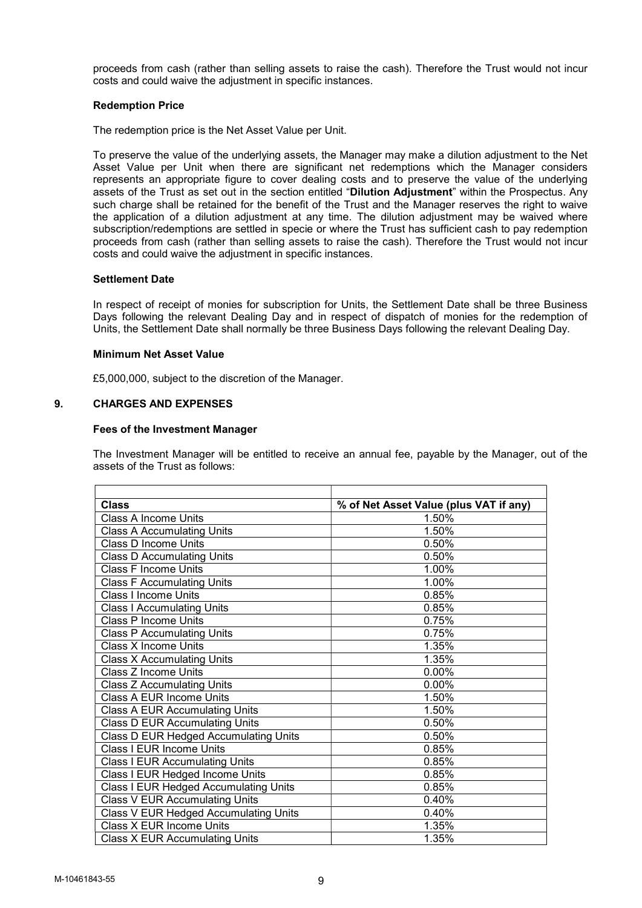proceeds from cash (rather than selling assets to raise the cash). Therefore the Trust would not incur costs and could waive the adjustment in specific instances.

### Redemption Price

The redemption price is the Net Asset Value per Unit.

To preserve the value of the underlying assets, the Manager may make a dilution adjustment to the Net Asset Value per Unit when there are significant net redemptions which the Manager considers represents an appropriate figure to cover dealing costs and to preserve the value of the underlying assets of the Trust as set out in the section entitled "Dilution Adjustment" within the Prospectus. Any such charge shall be retained for the benefit of the Trust and the Manager reserves the right to waive the application of a dilution adjustment at any time. The dilution adjustment may be waived where subscription/redemptions are settled in specie or where the Trust has sufficient cash to pay redemption proceeds from cash (rather than selling assets to raise the cash). Therefore the Trust would not incur costs and could waive the adjustment in specific instances.

#### Settlement Date

In respect of receipt of monies for subscription for Units, the Settlement Date shall be three Business Days following the relevant Dealing Day and in respect of dispatch of monies for the redemption of Units, the Settlement Date shall normally be three Business Days following the relevant Dealing Day.

# Minimum Net Asset Value

£5,000,000, subject to the discretion of the Manager.

# 9. CHARGES AND EXPENSES

#### Fees of the Investment Manager

The Investment Manager will be entitled to receive an annual fee, payable by the Manager, out of the assets of the Trust as follows:

| <b>Class</b>                          | % of Net Asset Value (plus VAT if any) |
|---------------------------------------|----------------------------------------|
| <b>Class A Income Units</b>           | 1.50%                                  |
| <b>Class A Accumulating Units</b>     | 1.50%                                  |
| Class D Income Units                  | 0.50%                                  |
| <b>Class D Accumulating Units</b>     | 0.50%                                  |
| <b>Class F Income Units</b>           | 1.00%                                  |
| <b>Class F Accumulating Units</b>     | 1.00%                                  |
| <b>Class I Income Units</b>           | 0.85%                                  |
| <b>Class I Accumulating Units</b>     | 0.85%                                  |
| Class P Income Units                  | 0.75%                                  |
| <b>Class P Accumulating Units</b>     | 0.75%                                  |
| <b>Class X Income Units</b>           | 1.35%                                  |
| <b>Class X Accumulating Units</b>     | 1.35%                                  |
| Class Z Income Units                  | 0.00%                                  |
| Class Z Accumulating Units            | $0.00\%$                               |
| Class A EUR Income Units              | 1.50%                                  |
| <b>Class A EUR Accumulating Units</b> | 1.50%                                  |
| <b>Class D EUR Accumulating Units</b> | 0.50%                                  |
| Class D EUR Hedged Accumulating Units | 0.50%                                  |
| <b>Class I EUR Income Units</b>       | 0.85%                                  |
| <b>Class I EUR Accumulating Units</b> | 0.85%                                  |
| Class I EUR Hedged Income Units       | 0.85%                                  |
| Class I EUR Hedged Accumulating Units | 0.85%                                  |
| <b>Class V EUR Accumulating Units</b> | 0.40%                                  |
| Class V EUR Hedged Accumulating Units | 0.40%                                  |
| Class X EUR Income Units              | 1.35%                                  |
| <b>Class X EUR Accumulating Units</b> | 1.35%                                  |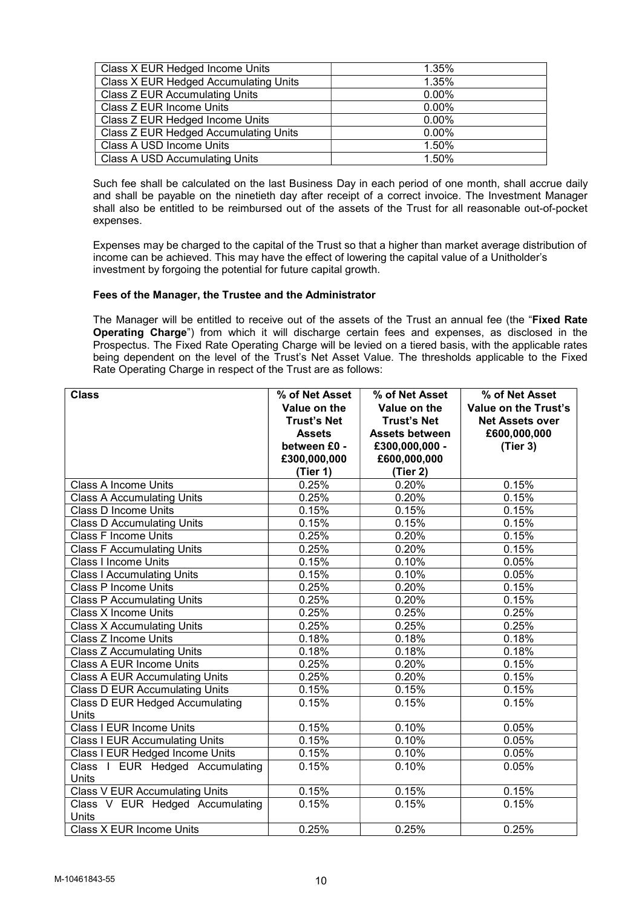| Class X EUR Hedged Income Units       | 1.35%    |
|---------------------------------------|----------|
| Class X EUR Hedged Accumulating Units | 1.35%    |
| Class Z EUR Accumulating Units        | $0.00\%$ |
| Class Z EUR Income Units              | $0.00\%$ |
| Class Z EUR Hedged Income Units       | $0.00\%$ |
| Class Z EUR Hedged Accumulating Units | $0.00\%$ |
| Class A USD Income Units              | 1.50%    |
| <b>Class A USD Accumulating Units</b> | 1.50%    |

Such fee shall be calculated on the last Business Day in each period of one month, shall accrue daily and shall be payable on the ninetieth day after receipt of a correct invoice. The Investment Manager shall also be entitled to be reimbursed out of the assets of the Trust for all reasonable out-of-pocket expenses.

Expenses may be charged to the capital of the Trust so that a higher than market average distribution of income can be achieved. This may have the effect of lowering the capital value of a Unitholder's investment by forgoing the potential for future capital growth.

# Fees of the Manager, the Trustee and the Administrator

The Manager will be entitled to receive out of the assets of the Trust an annual fee (the "Fixed Rate Operating Charge") from which it will discharge certain fees and expenses, as disclosed in the Prospectus. The Fixed Rate Operating Charge will be levied on a tiered basis, with the applicable rates being dependent on the level of the Trust's Net Asset Value. The thresholds applicable to the Fixed Rate Operating Charge in respect of the Trust are as follows:

| <b>Class</b>                             | % of Net Asset     | % of Net Asset        | % of Net Asset         |
|------------------------------------------|--------------------|-----------------------|------------------------|
|                                          | Value on the       | Value on the          | Value on the Trust's   |
|                                          | <b>Trust's Net</b> | <b>Trust's Net</b>    | <b>Net Assets over</b> |
|                                          | <b>Assets</b>      | <b>Assets between</b> | £600,000,000           |
|                                          | between £0 -       | £300,000,000 -        | (Tier 3)               |
|                                          | £300,000,000       | £600,000,000          |                        |
|                                          | (Tier 1)           | (Tier 2)              |                        |
| <b>Class A Income Units</b>              | 0.25%              | 0.20%                 | 0.15%                  |
| <b>Class A Accumulating Units</b>        | 0.25%              | 0.20%                 | 0.15%                  |
| <b>Class D Income Units</b>              | 0.15%              | 0.15%                 | 0.15%                  |
| <b>Class D Accumulating Units</b>        | 0.15%              | 0.15%                 | 0.15%                  |
| <b>Class F Income Units</b>              | 0.25%              | 0.20%                 | 0.15%                  |
| <b>Class F Accumulating Units</b>        | 0.25%              | 0.20%                 | 0.15%                  |
| <b>Class I Income Units</b>              | 0.15%              | 0.10%                 | 0.05%                  |
| <b>Class I Accumulating Units</b>        | 0.15%              | 0.10%                 | 0.05%                  |
| <b>Class P Income Units</b>              | 0.25%              | 0.20%                 | 0.15%                  |
| <b>Class P Accumulating Units</b>        | 0.25%              | 0.20%                 | 0.15%                  |
| <b>Class X Income Units</b>              | 0.25%              | 0.25%                 | 0.25%                  |
| <b>Class X Accumulating Units</b>        | 0.25%              | 0.25%                 | 0.25%                  |
| Class Z Income Units                     | 0.18%              | 0.18%                 | 0.18%                  |
| <b>Class Z Accumulating Units</b>        | 0.18%              | 0.18%                 | 0.18%                  |
| Class A EUR Income Units                 | 0.25%              | 0.20%                 | 0.15%                  |
| <b>Class A EUR Accumulating Units</b>    | 0.25%              | 0.20%                 | 0.15%                  |
| <b>Class D EUR Accumulating Units</b>    | 0.15%              | 0.15%                 | 0.15%                  |
| Class D EUR Hedged Accumulating          | 0.15%              | 0.15%                 | 0.15%                  |
| Units                                    |                    |                       |                        |
| Class I EUR Income Units                 | 0.15%              | 0.10%                 | 0.05%                  |
| <b>Class I EUR Accumulating Units</b>    | 0.15%              | 0.10%                 | 0.05%                  |
| Class I EUR Hedged Income Units          | 0.15%              | $0.10\%$              | 0.05%                  |
| Class I EUR Hedged Accumulating<br>Units | 0.15%              | 0.10%                 | 0.05%                  |
| <b>Class V EUR Accumulating Units</b>    | 0.15%              | 0.15%                 | 0.15%                  |
| Class V EUR Hedged Accumulating<br>Units | 0.15%              | 0.15%                 | 0.15%                  |
| Class X EUR Income Units                 | 0.25%              | 0.25%                 | 0.25%                  |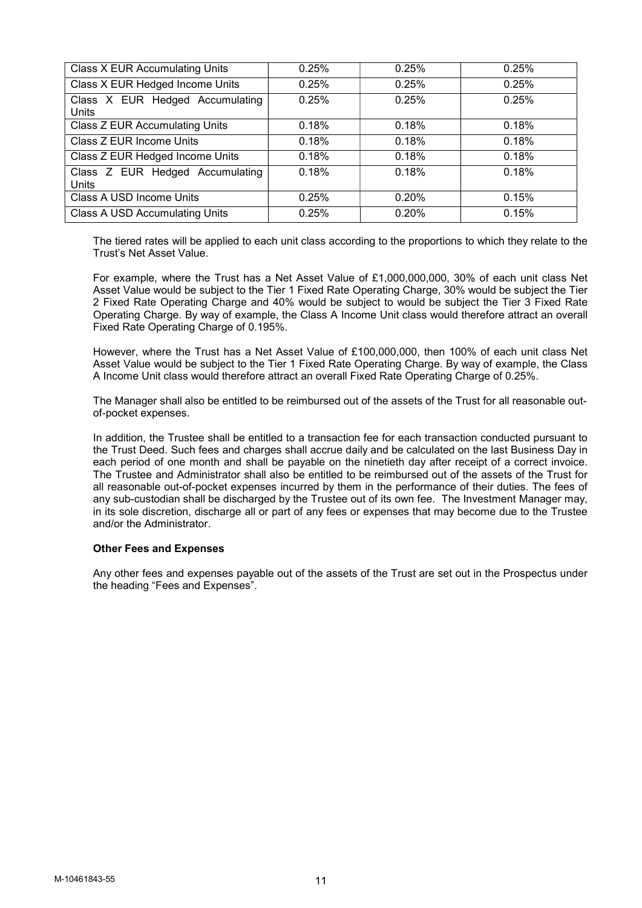| Class X EUR Accumulating Units           | 0.25% | 0.25% | 0.25% |
|------------------------------------------|-------|-------|-------|
| Class X EUR Hedged Income Units          | 0.25% | 0.25% | 0.25% |
| Class X EUR Hedged Accumulating<br>Units | 0.25% | 0.25% | 0.25% |
| Class Z EUR Accumulating Units           | 0.18% | 0.18% | 0.18% |
| Class Z EUR Income Units                 | 0.18% | 0.18% | 0.18% |
| Class Z EUR Hedged Income Units          | 0.18% | 0.18% | 0.18% |
| Class Z EUR Hedged Accumulating<br>Units | 0.18% | 0.18% | 0.18% |
| Class A USD Income Units                 | 0.25% | 0.20% | 0.15% |
| <b>Class A USD Accumulating Units</b>    | 0.25% | 0.20% | 0.15% |

The tiered rates will be applied to each unit class according to the proportions to which they relate to the Trust's Net Asset Value.

For example, where the Trust has a Net Asset Value of £1,000,000,000, 30% of each unit class Net Asset Value would be subject to the Tier 1 Fixed Rate Operating Charge, 30% would be subject the Tier 2 Fixed Rate Operating Charge and 40% would be subject to would be subject the Tier 3 Fixed Rate Operating Charge. By way of example, the Class A Income Unit class would therefore attract an overall Fixed Rate Operating Charge of 0.195%.

However, where the Trust has a Net Asset Value of £100,000,000, then 100% of each unit class Net Asset Value would be subject to the Tier 1 Fixed Rate Operating Charge. By way of example, the Class A Income Unit class would therefore attract an overall Fixed Rate Operating Charge of 0.25%.

The Manager shall also be entitled to be reimbursed out of the assets of the Trust for all reasonable outof-pocket expenses.

In addition, the Trustee shall be entitled to a transaction fee for each transaction conducted pursuant to the Trust Deed. Such fees and charges shall accrue daily and be calculated on the last Business Day in each period of one month and shall be payable on the ninetieth day after receipt of a correct invoice. The Trustee and Administrator shall also be entitled to be reimbursed out of the assets of the Trust for all reasonable out-of-pocket expenses incurred by them in the performance of their duties. The fees of any sub-custodian shall be discharged by the Trustee out of its own fee. The Investment Manager may, in its sole discretion, discharge all or part of any fees or expenses that may become due to the Trustee and/or the Administrator.

# Other Fees and Expenses

Any other fees and expenses payable out of the assets of the Trust are set out in the Prospectus under the heading "Fees and Expenses".